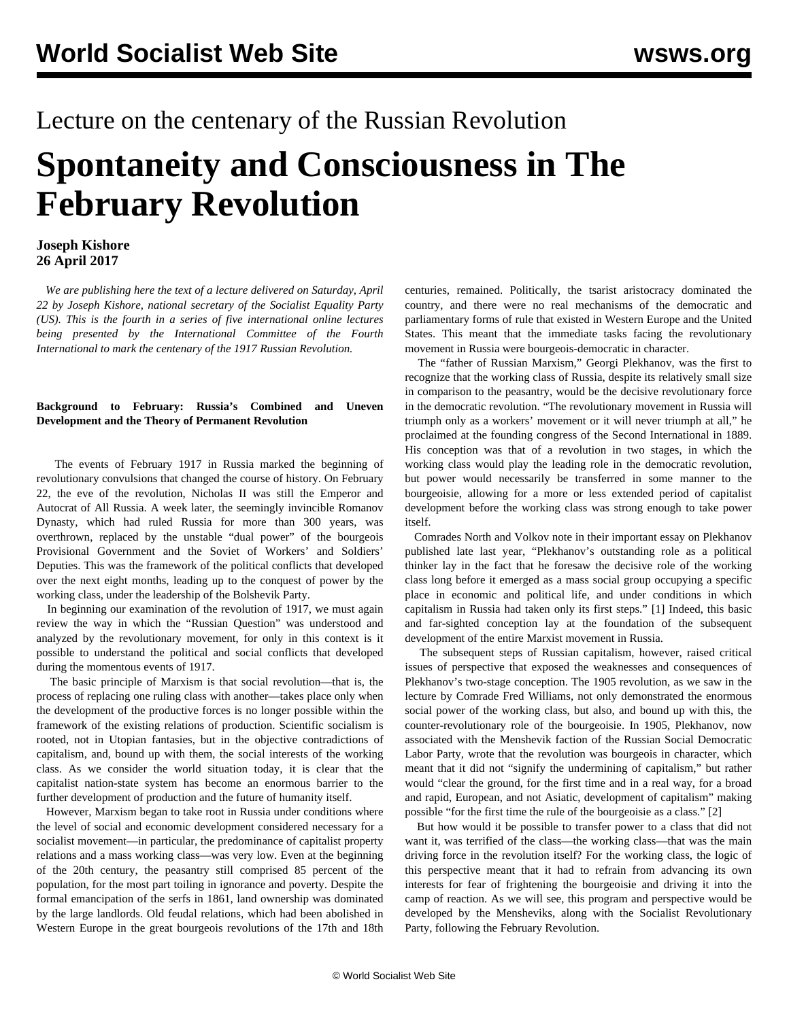# Lecture on the centenary of the Russian Revolution **Spontaneity and Consciousness in The February Revolution**

## **Joseph Kishore 26 April 2017**

 *We are publishing here the text of a lecture delivered on Saturday, April 22 by Joseph Kishore, national secretary of the Socialist Equality Party (US). This is the fourth in a series of five international online lectures being presented by the International Committee of the Fourth International to mark the centenary of the 1917 Russian Revolution.* 

### **Background to February: Russia's Combined and Uneven Development and the Theory of Permanent Revolution**

 The events of February 1917 in Russia marked the beginning of revolutionary convulsions that changed the course of history. On February 22, the eve of the revolution, Nicholas II was still the Emperor and Autocrat of All Russia. A week later, the seemingly invincible Romanov Dynasty, which had ruled Russia for more than 300 years, was overthrown, replaced by the unstable "dual power" of the bourgeois Provisional Government and the Soviet of Workers' and Soldiers' Deputies. This was the framework of the political conflicts that developed over the next eight months, leading up to the conquest of power by the working class, under the leadership of the Bolshevik Party.

 In beginning our examination of the revolution of 1917, we must again review the way in which the "Russian Question" was understood and analyzed by the revolutionary movement, for only in this context is it possible to understand the political and social conflicts that developed during the momentous events of 1917.

 The basic principle of Marxism is that social revolution—that is, the process of replacing one ruling class with another—takes place only when the development of the productive forces is no longer possible within the framework of the existing relations of production. Scientific socialism is rooted, not in Utopian fantasies, but in the objective contradictions of capitalism, and, bound up with them, the social interests of the working class. As we consider the world situation today, it is clear that the capitalist nation-state system has become an enormous barrier to the further development of production and the future of humanity itself.

 However, Marxism began to take root in Russia under conditions where the level of social and economic development considered necessary for a socialist movement—in particular, the predominance of capitalist property relations and a mass working class—was very low. Even at the beginning of the 20th century, the peasantry still comprised 85 percent of the population, for the most part toiling in ignorance and poverty. Despite the formal emancipation of the serfs in 1861, land ownership was dominated by the large landlords. Old feudal relations, which had been abolished in Western Europe in the great bourgeois revolutions of the 17th and 18th centuries, remained. Politically, the tsarist aristocracy dominated the country, and there were no real mechanisms of the democratic and parliamentary forms of rule that existed in Western Europe and the United States. This meant that the immediate tasks facing the revolutionary movement in Russia were bourgeois-democratic in character.

 The "father of Russian Marxism," Georgi Plekhanov, was the first to recognize that the working class of Russia, despite its relatively small size in comparison to the peasantry, would be the decisive revolutionary force in the democratic revolution. "The revolutionary movement in Russia will triumph only as a workers' movement or it will never triumph at all," he proclaimed at the founding congress of the Second International in 1889. His conception was that of a revolution in two stages, in which the working class would play the leading role in the democratic revolution, but power would necessarily be transferred in some manner to the bourgeoisie, allowing for a more or less extended period of capitalist development before the working class was strong enough to take power itself.

 Comrades North and Volkov note in their important essay on Plekhanov published late last year, "Plekhanov's outstanding role as a political thinker lay in the fact that he foresaw the decisive role of the working class long before it emerged as a mass social group occupying a specific place in economic and political life, and under conditions in which capitalism in Russia had taken only its first steps." [1] Indeed, this basic and far-sighted conception lay at the foundation of the subsequent development of the entire Marxist movement in Russia.

 The subsequent steps of Russian capitalism, however, raised critical issues of perspective that exposed the weaknesses and consequences of Plekhanov's two-stage conception. The 1905 revolution, as we saw in the lecture by Comrade Fred Williams, not only demonstrated the enormous social power of the working class, but also, and bound up with this, the counter-revolutionary role of the bourgeoisie. In 1905, Plekhanov, now associated with the Menshevik faction of the Russian Social Democratic Labor Party, wrote that the revolution was bourgeois in character, which meant that it did not "signify the undermining of capitalism," but rather would "clear the ground, for the first time and in a real way, for a broad and rapid, European, and not Asiatic, development of capitalism" making possible "for the first time the rule of the bourgeoisie as a class." [2]

 But how would it be possible to transfer power to a class that did not want it, was terrified of the class—the working class—that was the main driving force in the revolution itself? For the working class, the logic of this perspective meant that it had to refrain from advancing its own interests for fear of frightening the bourgeoisie and driving it into the camp of reaction. As we will see, this program and perspective would be developed by the Mensheviks, along with the Socialist Revolutionary Party, following the February Revolution.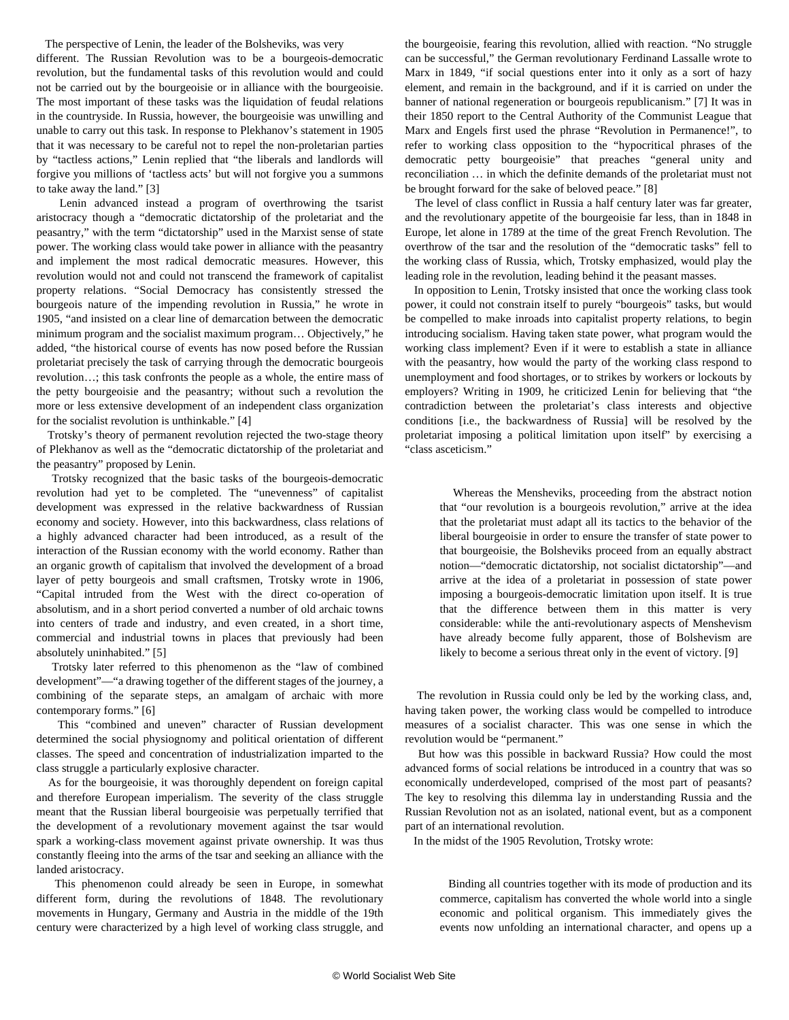The perspective of Lenin, the leader of the Bolsheviks, was very

different. The Russian Revolution was to be a bourgeois-democratic revolution, but the fundamental tasks of this revolution would and could not be carried out by the bourgeoisie or in alliance with the bourgeoisie. The most important of these tasks was the liquidation of feudal relations in the countryside. In Russia, however, the bourgeoisie was unwilling and unable to carry out this task. In response to Plekhanov's statement in 1905 that it was necessary to be careful not to repel the non-proletarian parties by "tactless actions," Lenin replied that "the liberals and landlords will forgive you millions of 'tactless acts' but will not forgive you a summons to take away the land." [3]

 Lenin advanced instead a program of overthrowing the tsarist aristocracy though a "democratic dictatorship of the proletariat and the peasantry," with the term "dictatorship" used in the Marxist sense of state power. The working class would take power in alliance with the peasantry and implement the most radical democratic measures. However, this revolution would not and could not transcend the framework of capitalist property relations. "Social Democracy has consistently stressed the bourgeois nature of the impending revolution in Russia," he wrote in 1905, "and insisted on a clear line of demarcation between the democratic minimum program and the socialist maximum program… Objectively," he added, "the historical course of events has now posed before the Russian proletariat precisely the task of carrying through the democratic bourgeois revolution…; this task confronts the people as a whole, the entire mass of the petty bourgeoisie and the peasantry; without such a revolution the more or less extensive development of an independent class organization for the socialist revolution is unthinkable." [4]

 Trotsky's theory of permanent revolution rejected the two-stage theory of Plekhanov as well as the "democratic dictatorship of the proletariat and the peasantry" proposed by Lenin.

 Trotsky recognized that the basic tasks of the bourgeois-democratic revolution had yet to be completed. The "unevenness" of capitalist development was expressed in the relative backwardness of Russian economy and society. However, into this backwardness, class relations of a highly advanced character had been introduced, as a result of the interaction of the Russian economy with the world economy. Rather than an organic growth of capitalism that involved the development of a broad layer of petty bourgeois and small craftsmen, Trotsky wrote in 1906, "Capital intruded from the West with the direct co-operation of absolutism, and in a short period converted a number of old archaic towns into centers of trade and industry, and even created, in a short time, commercial and industrial towns in places that previously had been absolutely uninhabited." [5]

 Trotsky later referred to this phenomenon as the "law of combined development"—"a drawing together of the different stages of the journey, a combining of the separate steps, an amalgam of archaic with more contemporary forms." [6]

 This "combined and uneven" character of Russian development determined the social physiognomy and political orientation of different classes. The speed and concentration of industrialization imparted to the class struggle a particularly explosive character.

 As for the bourgeoisie, it was thoroughly dependent on foreign capital and therefore European imperialism. The severity of the class struggle meant that the Russian liberal bourgeoisie was perpetually terrified that the development of a revolutionary movement against the tsar would spark a working-class movement against private ownership. It was thus constantly fleeing into the arms of the tsar and seeking an alliance with the landed aristocracy.

 This phenomenon could already be seen in Europe, in somewhat different form, during the revolutions of 1848. The revolutionary movements in Hungary, Germany and Austria in the middle of the 19th century were characterized by a high level of working class struggle, and the bourgeoisie, fearing this revolution, allied with reaction. "No struggle can be successful," the German revolutionary Ferdinand Lassalle wrote to Marx in 1849, "if social questions enter into it only as a sort of hazy element, and remain in the background, and if it is carried on under the banner of national regeneration or bourgeois republicanism." [7] It was in their 1850 report to the Central Authority of the Communist League that Marx and Engels first used the phrase "Revolution in Permanence!", to refer to working class opposition to the "hypocritical phrases of the democratic petty bourgeoisie" that preaches "general unity and reconciliation … in which the definite demands of the proletariat must not be brought forward for the sake of beloved peace." [8]

 The level of class conflict in Russia a half century later was far greater, and the revolutionary appetite of the bourgeoisie far less, than in 1848 in Europe, let alone in 1789 at the time of the great French Revolution. The overthrow of the tsar and the resolution of the "democratic tasks" fell to the working class of Russia, which, Trotsky emphasized, would play the leading role in the revolution, leading behind it the peasant masses.

 In opposition to Lenin, Trotsky insisted that once the working class took power, it could not constrain itself to purely "bourgeois" tasks, but would be compelled to make inroads into capitalist property relations, to begin introducing socialism. Having taken state power, what program would the working class implement? Even if it were to establish a state in alliance with the peasantry, how would the party of the working class respond to unemployment and food shortages, or to strikes by workers or lockouts by employers? Writing in 1909, he criticized Lenin for believing that "the contradiction between the proletariat's class interests and objective conditions [i.e., the backwardness of Russia] will be resolved by the proletariat imposing a political limitation upon itself" by exercising a "class asceticism."

 Whereas the Mensheviks, proceeding from the abstract notion that "our revolution is a bourgeois revolution," arrive at the idea that the proletariat must adapt all its tactics to the behavior of the liberal bourgeoisie in order to ensure the transfer of state power to that bourgeoisie, the Bolsheviks proceed from an equally abstract notion—"democratic dictatorship, not socialist dictatorship"—and arrive at the idea of a proletariat in possession of state power imposing a bourgeois-democratic limitation upon itself. It is true that the difference between them in this matter is very considerable: while the anti-revolutionary aspects of Menshevism have already become fully apparent, those of Bolshevism are likely to become a serious threat only in the event of victory. [9]

 The revolution in Russia could only be led by the working class, and, having taken power, the working class would be compelled to introduce measures of a socialist character. This was one sense in which the revolution would be "permanent."

 But how was this possible in backward Russia? How could the most advanced forms of social relations be introduced in a country that was so economically underdeveloped, comprised of the most part of peasants? The key to resolving this dilemma lay in understanding Russia and the Russian Revolution not as an isolated, national event, but as a component part of an international revolution.

In the midst of the 1905 Revolution, Trotsky wrote:

 Binding all countries together with its mode of production and its commerce, capitalism has converted the whole world into a single economic and political organism. This immediately gives the events now unfolding an international character, and opens up a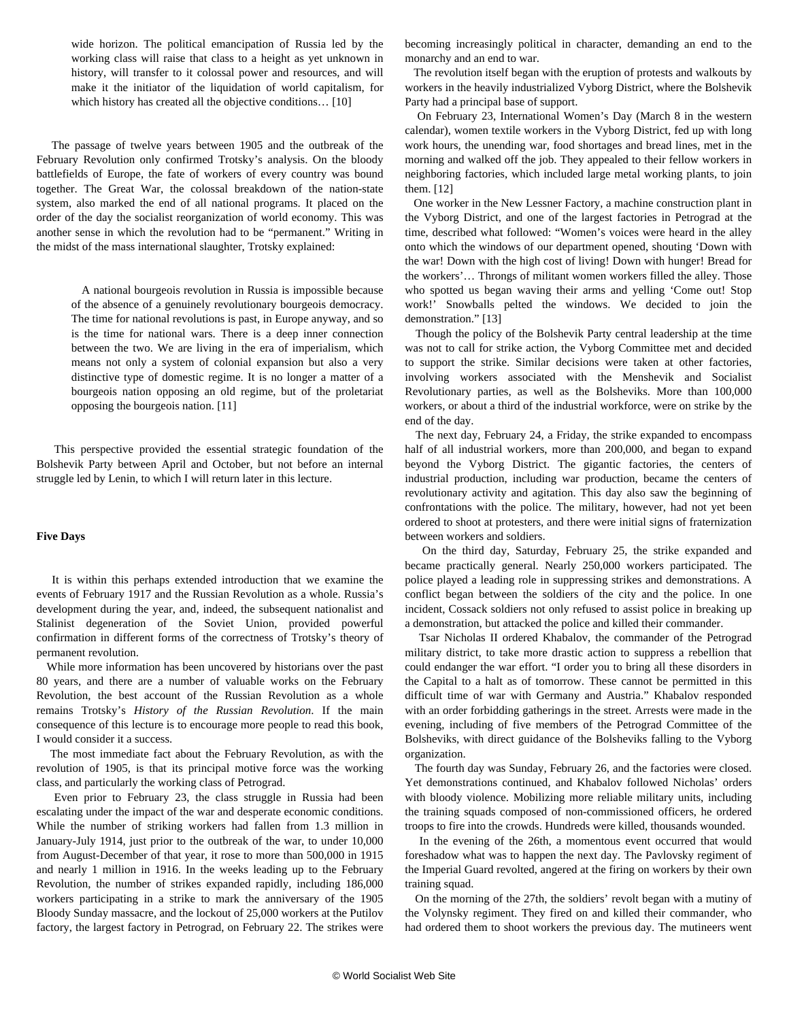wide horizon. The political emancipation of Russia led by the working class will raise that class to a height as yet unknown in history, will transfer to it colossal power and resources, and will make it the initiator of the liquidation of world capitalism, for which history has created all the objective conditions... [10]

 The passage of twelve years between 1905 and the outbreak of the February Revolution only confirmed Trotsky's analysis. On the bloody battlefields of Europe, the fate of workers of every country was bound together. The Great War, the colossal breakdown of the nation-state system, also marked the end of all national programs. It placed on the order of the day the socialist reorganization of world economy. This was another sense in which the revolution had to be "permanent." Writing in the midst of the mass international slaughter, Trotsky explained:

> A national bourgeois revolution in Russia is impossible because of the absence of a genuinely revolutionary bourgeois democracy. The time for national revolutions is past, in Europe anyway, and so is the time for national wars. There is a deep inner connection between the two. We are living in the era of imperialism, which means not only a system of colonial expansion but also a very distinctive type of domestic regime. It is no longer a matter of a bourgeois nation opposing an old regime, but of the proletariat opposing the bourgeois nation. [11]

 This perspective provided the essential strategic foundation of the Bolshevik Party between April and October, but not before an internal struggle led by Lenin, to which I will return later in this lecture.

#### **Five Days**

 It is within this perhaps extended introduction that we examine the events of February 1917 and the Russian Revolution as a whole. Russia's development during the year, and, indeed, the subsequent nationalist and Stalinist degeneration of the Soviet Union, provided powerful confirmation in different forms of the correctness of Trotsky's theory of permanent revolution.

 While more information has been uncovered by historians over the past 80 years, and there are a number of valuable works on the February Revolution, the best account of the Russian Revolution as a whole remains Trotsky's *History of the Russian Revolution*. If the main consequence of this lecture is to encourage more people to read this book, I would consider it a success.

 The most immediate fact about the February Revolution, as with the revolution of 1905, is that its principal motive force was the working class, and particularly the working class of Petrograd.

 Even prior to February 23, the class struggle in Russia had been escalating under the impact of the war and desperate economic conditions. While the number of striking workers had fallen from 1.3 million in January-July 1914, just prior to the outbreak of the war, to under 10,000 from August-December of that year, it rose to more than 500,000 in 1915 and nearly 1 million in 1916. In the weeks leading up to the February Revolution, the number of strikes expanded rapidly, including 186,000 workers participating in a strike to mark the anniversary of the 1905 Bloody Sunday massacre, and the lockout of 25,000 workers at the Putilov factory, the largest factory in Petrograd, on February 22. The strikes were

becoming increasingly political in character, demanding an end to the monarchy and an end to war.

 The revolution itself began with the eruption of protests and walkouts by workers in the heavily industrialized Vyborg District, where the Bolshevik Party had a principal base of support.

 On February 23, International Women's Day (March 8 in the western calendar), women textile workers in the Vyborg District, fed up with long work hours, the unending war, food shortages and bread lines, met in the morning and walked off the job. They appealed to their fellow workers in neighboring factories, which included large metal working plants, to join them. [12]

 One worker in the New Lessner Factory, a machine construction plant in the Vyborg District, and one of the largest factories in Petrograd at the time, described what followed: "Women's voices were heard in the alley onto which the windows of our department opened, shouting 'Down with the war! Down with the high cost of living! Down with hunger! Bread for the workers'… Throngs of militant women workers filled the alley. Those who spotted us began waving their arms and yelling 'Come out! Stop work!' Snowballs pelted the windows. We decided to join the demonstration." [13]

 Though the policy of the Bolshevik Party central leadership at the time was not to call for strike action, the Vyborg Committee met and decided to support the strike. Similar decisions were taken at other factories, involving workers associated with the Menshevik and Socialist Revolutionary parties, as well as the Bolsheviks. More than 100,000 workers, or about a third of the industrial workforce, were on strike by the end of the day.

 The next day, February 24, a Friday, the strike expanded to encompass half of all industrial workers, more than 200,000, and began to expand beyond the Vyborg District. The gigantic factories, the centers of industrial production, including war production, became the centers of revolutionary activity and agitation. This day also saw the beginning of confrontations with the police. The military, however, had not yet been ordered to shoot at protesters, and there were initial signs of fraternization between workers and soldiers.

 On the third day, Saturday, February 25, the strike expanded and became practically general. Nearly 250,000 workers participated. The police played a leading role in suppressing strikes and demonstrations. A conflict began between the soldiers of the city and the police. In one incident, Cossack soldiers not only refused to assist police in breaking up a demonstration, but attacked the police and killed their commander.

 Tsar Nicholas II ordered Khabalov, the commander of the Petrograd military district, to take more drastic action to suppress a rebellion that could endanger the war effort. "I order you to bring all these disorders in the Capital to a halt as of tomorrow. These cannot be permitted in this difficult time of war with Germany and Austria." Khabalov responded with an order forbidding gatherings in the street. Arrests were made in the evening, including of five members of the Petrograd Committee of the Bolsheviks, with direct guidance of the Bolsheviks falling to the Vyborg organization.

 The fourth day was Sunday, February 26, and the factories were closed. Yet demonstrations continued, and Khabalov followed Nicholas' orders with bloody violence. Mobilizing more reliable military units, including the training squads composed of non-commissioned officers, he ordered troops to fire into the crowds. Hundreds were killed, thousands wounded.

 In the evening of the 26th, a momentous event occurred that would foreshadow what was to happen the next day. The Pavlovsky regiment of the Imperial Guard revolted, angered at the firing on workers by their own training squad.

 On the morning of the 27th, the soldiers' revolt began with a mutiny of the Volynsky regiment. They fired on and killed their commander, who had ordered them to shoot workers the previous day. The mutineers went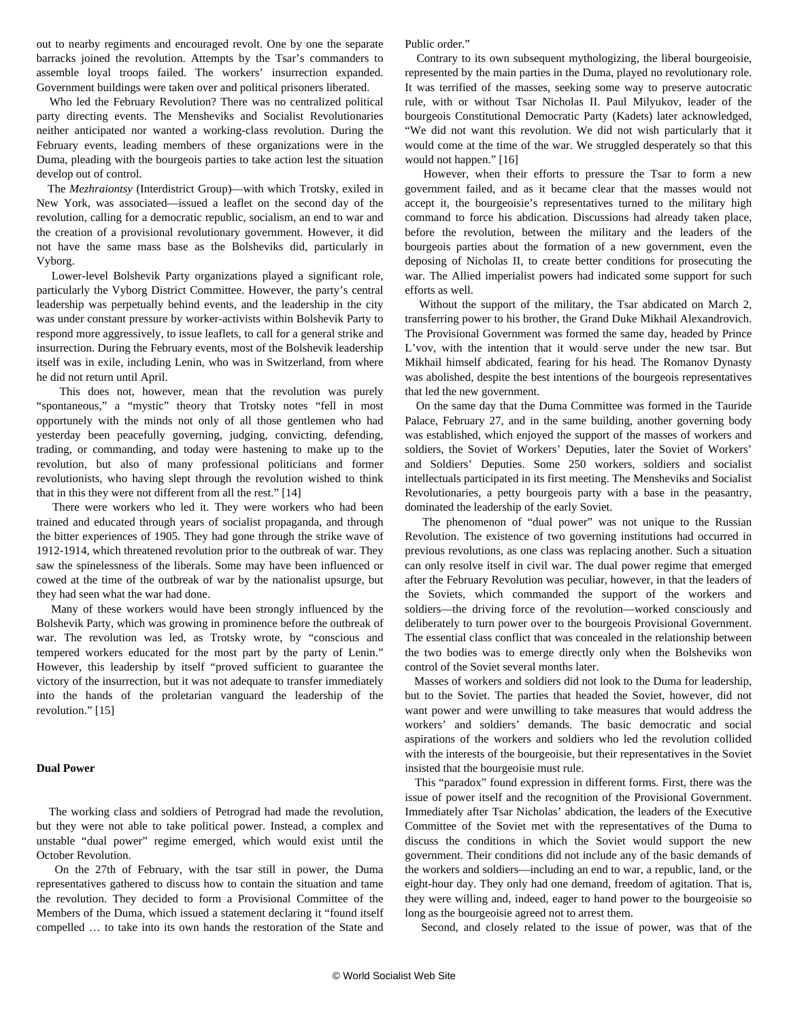out to nearby regiments and encouraged revolt. One by one the separate barracks joined the revolution. Attempts by the Tsar's commanders to assemble loyal troops failed. The workers' insurrection expanded. Government buildings were taken over and political prisoners liberated.

 Who led the February Revolution? There was no centralized political party directing events. The Mensheviks and Socialist Revolutionaries neither anticipated nor wanted a working-class revolution. During the February events, leading members of these organizations were in the Duma, pleading with the bourgeois parties to take action lest the situation develop out of control.

 The *Mezhraiontsy* (Interdistrict Group)—with which Trotsky, exiled in New York, was associated—issued a leaflet on the second day of the revolution, calling for a democratic republic, socialism, an end to war and the creation of a provisional revolutionary government. However, it did not have the same mass base as the Bolsheviks did, particularly in Vyborg.

 Lower-level Bolshevik Party organizations played a significant role, particularly the Vyborg District Committee. However, the party's central leadership was perpetually behind events, and the leadership in the city was under constant pressure by worker-activists within Bolshevik Party to respond more aggressively, to issue leaflets, to call for a general strike and insurrection. During the February events, most of the Bolshevik leadership itself was in exile, including Lenin, who was in Switzerland, from where he did not return until April.

 This does not, however, mean that the revolution was purely "spontaneous," a "mystic" theory that Trotsky notes "fell in most opportunely with the minds not only of all those gentlemen who had yesterday been peacefully governing, judging, convicting, defending, trading, or commanding, and today were hastening to make up to the revolution, but also of many professional politicians and former revolutionists, who having slept through the revolution wished to think that in this they were not different from all the rest." [14]

 There were workers who led it. They were workers who had been trained and educated through years of socialist propaganda, and through the bitter experiences of 1905. They had gone through the strike wave of 1912-1914, which threatened revolution prior to the outbreak of war. They saw the spinelessness of the liberals. Some may have been influenced or cowed at the time of the outbreak of war by the nationalist upsurge, but they had seen what the war had done.

 Many of these workers would have been strongly influenced by the Bolshevik Party, which was growing in prominence before the outbreak of war. The revolution was led, as Trotsky wrote, by "conscious and tempered workers educated for the most part by the party of Lenin." However, this leadership by itself "proved sufficient to guarantee the victory of the insurrection, but it was not adequate to transfer immediately into the hands of the proletarian vanguard the leadership of the revolution." [15]

#### **Dual Power**

 The working class and soldiers of Petrograd had made the revolution, but they were not able to take political power. Instead, a complex and unstable "dual power" regime emerged, which would exist until the October Revolution.

 On the 27th of February, with the tsar still in power, the Duma representatives gathered to discuss how to contain the situation and tame the revolution. They decided to form a Provisional Committee of the Members of the Duma, which issued a statement declaring it "found itself compelled … to take into its own hands the restoration of the State and Public order."

 Contrary to its own subsequent mythologizing, the liberal bourgeoisie, represented by the main parties in the Duma, played no revolutionary role. It was terrified of the masses, seeking some way to preserve autocratic rule, with or without Tsar Nicholas II. Paul Milyukov, leader of the bourgeois Constitutional Democratic Party (Kadets) later acknowledged, "We did not want this revolution. We did not wish particularly that it would come at the time of the war. We struggled desperately so that this would not happen." [16]

 However, when their efforts to pressure the Tsar to form a new government failed, and as it became clear that the masses would not accept it, the bourgeoisie's representatives turned to the military high command to force his abdication. Discussions had already taken place, before the revolution, between the military and the leaders of the bourgeois parties about the formation of a new government, even the deposing of Nicholas II, to create better conditions for prosecuting the war. The Allied imperialist powers had indicated some support for such efforts as well.

 Without the support of the military, the Tsar abdicated on March 2, transferring power to his brother, the Grand Duke Mikhail Alexandrovich. The Provisional Government was formed the same day, headed by Prince L'vov, with the intention that it would serve under the new tsar. But Mikhail himself abdicated, fearing for his head. The Romanov Dynasty was abolished, despite the best intentions of the bourgeois representatives that led the new government.

 On the same day that the Duma Committee was formed in the Tauride Palace, February 27, and in the same building, another governing body was established, which enjoyed the support of the masses of workers and soldiers, the Soviet of Workers' Deputies, later the Soviet of Workers' and Soldiers' Deputies. Some 250 workers, soldiers and socialist intellectuals participated in its first meeting. The Mensheviks and Socialist Revolutionaries, a petty bourgeois party with a base in the peasantry, dominated the leadership of the early Soviet.

 The phenomenon of "dual power" was not unique to the Russian Revolution. The existence of two governing institutions had occurred in previous revolutions, as one class was replacing another. Such a situation can only resolve itself in civil war. The dual power regime that emerged after the February Revolution was peculiar, however, in that the leaders of the Soviets, which commanded the support of the workers and soldiers—the driving force of the revolution—worked consciously and deliberately to turn power over to the bourgeois Provisional Government. The essential class conflict that was concealed in the relationship between the two bodies was to emerge directly only when the Bolsheviks won control of the Soviet several months later.

 Masses of workers and soldiers did not look to the Duma for leadership, but to the Soviet. The parties that headed the Soviet, however, did not want power and were unwilling to take measures that would address the workers' and soldiers' demands. The basic democratic and social aspirations of the workers and soldiers who led the revolution collided with the interests of the bourgeoisie, but their representatives in the Soviet insisted that the bourgeoisie must rule.

 This "paradox" found expression in different forms. First, there was the issue of power itself and the recognition of the Provisional Government. Immediately after Tsar Nicholas' abdication, the leaders of the Executive Committee of the Soviet met with the representatives of the Duma to discuss the conditions in which the Soviet would support the new government. Their conditions did not include any of the basic demands of the workers and soldiers—including an end to war, a republic, land, or the eight-hour day. They only had one demand, freedom of agitation. That is, they were willing and, indeed, eager to hand power to the bourgeoisie so long as the bourgeoisie agreed not to arrest them.

Second, and closely related to the issue of power, was that of the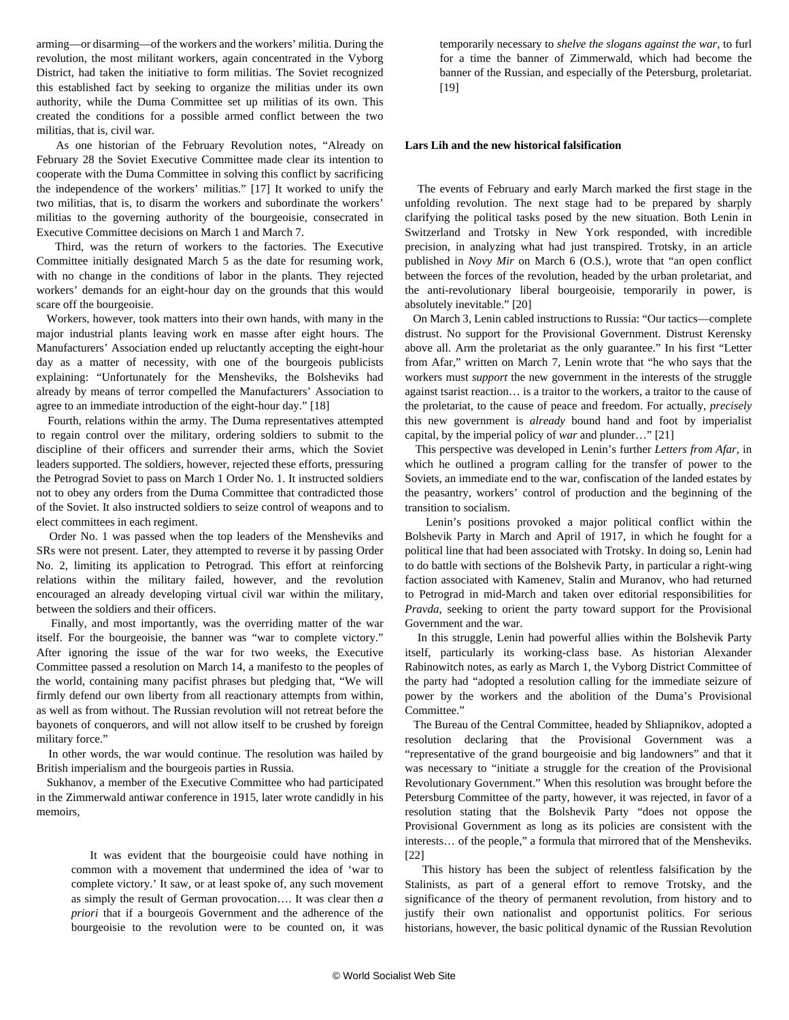arming—or disarming—of the workers and the workers' militia. During the revolution, the most militant workers, again concentrated in the Vyborg District, had taken the initiative to form militias. The Soviet recognized this established fact by seeking to organize the militias under its own authority, while the Duma Committee set up militias of its own. This created the conditions for a possible armed conflict between the two militias, that is, civil war.

 As one historian of the February Revolution notes, "Already on February 28 the Soviet Executive Committee made clear its intention to cooperate with the Duma Committee in solving this conflict by sacrificing the independence of the workers' militias." [17] It worked to unify the two militias, that is, to disarm the workers and subordinate the workers' militias to the governing authority of the bourgeoisie, consecrated in Executive Committee decisions on March 1 and March 7.

 Third, was the return of workers to the factories. The Executive Committee initially designated March 5 as the date for resuming work, with no change in the conditions of labor in the plants. They rejected workers' demands for an eight-hour day on the grounds that this would scare off the bourgeoisie.

 Workers, however, took matters into their own hands, with many in the major industrial plants leaving work en masse after eight hours. The Manufacturers' Association ended up reluctantly accepting the eight-hour day as a matter of necessity, with one of the bourgeois publicists explaining: "Unfortunately for the Mensheviks, the Bolsheviks had already by means of terror compelled the Manufacturers' Association to agree to an immediate introduction of the eight-hour day." [18]

 Fourth, relations within the army. The Duma representatives attempted to regain control over the military, ordering soldiers to submit to the discipline of their officers and surrender their arms, which the Soviet leaders supported. The soldiers, however, rejected these efforts, pressuring the Petrograd Soviet to pass on March 1 Order No. 1. It instructed soldiers not to obey any orders from the Duma Committee that contradicted those of the Soviet. It also instructed soldiers to seize control of weapons and to elect committees in each regiment.

 Order No. 1 was passed when the top leaders of the Mensheviks and SRs were not present. Later, they attempted to reverse it by passing Order No. 2, limiting its application to Petrograd. This effort at reinforcing relations within the military failed, however, and the revolution encouraged an already developing virtual civil war within the military, between the soldiers and their officers.

 Finally, and most importantly, was the overriding matter of the war itself. For the bourgeoisie, the banner was "war to complete victory." After ignoring the issue of the war for two weeks, the Executive Committee passed a resolution on March 14, a manifesto to the peoples of the world, containing many pacifist phrases but pledging that, "We will firmly defend our own liberty from all reactionary attempts from within, as well as from without. The Russian revolution will not retreat before the bayonets of conquerors, and will not allow itself to be crushed by foreign military force."

 In other words, the war would continue. The resolution was hailed by British imperialism and the bourgeois parties in Russia.

 Sukhanov, a member of the Executive Committee who had participated in the Zimmerwald antiwar conference in 1915, later wrote candidly in his memoirs,

 It was evident that the bourgeoisie could have nothing in common with a movement that undermined the idea of 'war to complete victory.' It saw, or at least spoke of, any such movement as simply the result of German provocation…. It was clear then *a priori* that if a bourgeois Government and the adherence of the bourgeoisie to the revolution were to be counted on, it was temporarily necessary to *shelve the slogans against the war*, to furl for a time the banner of Zimmerwald, which had become the banner of the Russian, and especially of the Petersburg, proletariat. [19]

#### **Lars Lih and the new historical falsification**

 The events of February and early March marked the first stage in the unfolding revolution. The next stage had to be prepared by sharply clarifying the political tasks posed by the new situation. Both Lenin in Switzerland and Trotsky in New York responded, with incredible precision, in analyzing what had just transpired. Trotsky, in an article published in *Novy Mir* on March 6 (O.S.), wrote that "an open conflict between the forces of the revolution, headed by the urban proletariat, and the anti-revolutionary liberal bourgeoisie, temporarily in power, is absolutely inevitable." [20]

 On March 3, Lenin cabled instructions to Russia: "Our tactics—complete distrust. No support for the Provisional Government. Distrust Kerensky above all. Arm the proletariat as the only guarantee." In his first "Letter from Afar," written on March 7, Lenin wrote that "he who says that the workers must *support* the new government in the interests of the struggle against tsarist reaction… is a traitor to the workers, a traitor to the cause of the proletariat, to the cause of peace and freedom. For actually, *precisely* this new government is *already* bound hand and foot by imperialist capital, by the imperial policy of *war* and plunder…" [21]

 This perspective was developed in Lenin's further *Letters from Afar*, in which he outlined a program calling for the transfer of power to the Soviets, an immediate end to the war, confiscation of the landed estates by the peasantry, workers' control of production and the beginning of the transition to socialism.

 Lenin's positions provoked a major political conflict within the Bolshevik Party in March and April of 1917, in which he fought for a political line that had been associated with Trotsky. In doing so, Lenin had to do battle with sections of the Bolshevik Party, in particular a right-wing faction associated with Kamenev, Stalin and Muranov, who had returned to Petrograd in mid-March and taken over editorial responsibilities for *Pravda*, seeking to orient the party toward support for the Provisional Government and the war.

 In this struggle, Lenin had powerful allies within the Bolshevik Party itself, particularly its working-class base. As historian Alexander Rabinowitch notes, as early as March 1, the Vyborg District Committee of the party had "adopted a resolution calling for the immediate seizure of power by the workers and the abolition of the Duma's Provisional Committee."

 The Bureau of the Central Committee, headed by Shliapnikov, adopted a resolution declaring that the Provisional Government was a "representative of the grand bourgeoisie and big landowners" and that it was necessary to "initiate a struggle for the creation of the Provisional Revolutionary Government." When this resolution was brought before the Petersburg Committee of the party, however, it was rejected, in favor of a resolution stating that the Bolshevik Party "does not oppose the Provisional Government as long as its policies are consistent with the interests… of the people," a formula that mirrored that of the Mensheviks. [22]

 This history has been the subject of relentless falsification by the Stalinists, as part of a general effort to remove Trotsky, and the significance of the theory of permanent revolution, from history and to justify their own nationalist and opportunist politics. For serious historians, however, the basic political dynamic of the Russian Revolution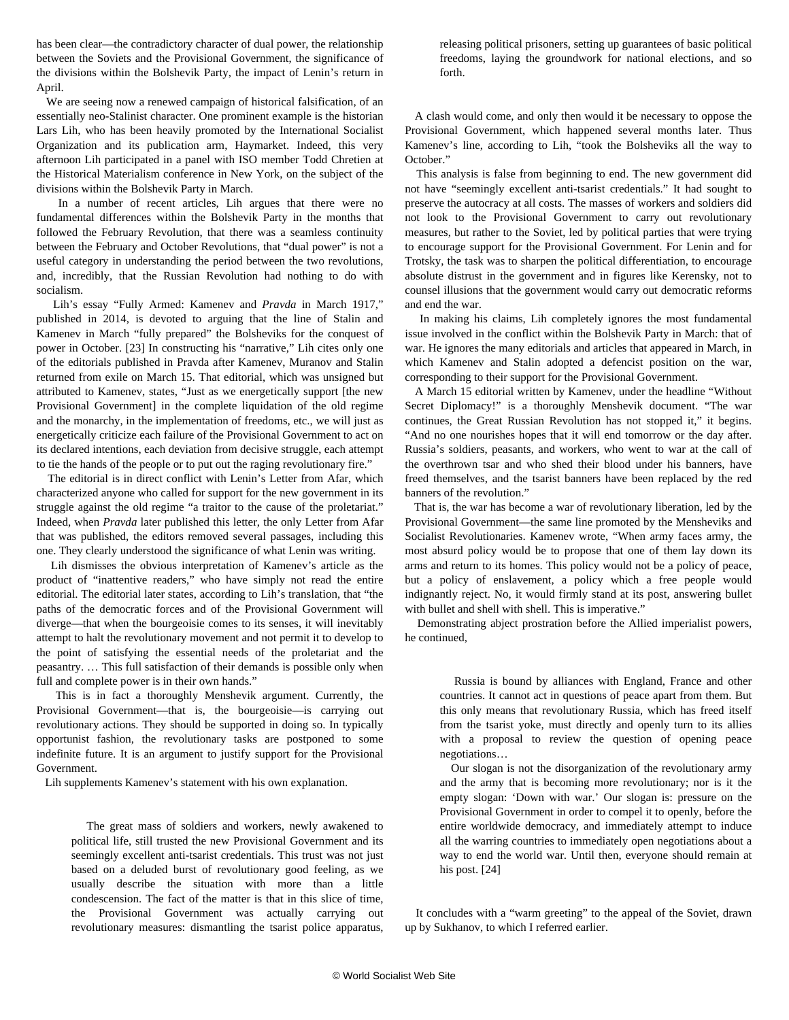has been clear—the contradictory character of dual power, the relationship between the Soviets and the Provisional Government, the significance of the divisions within the Bolshevik Party, the impact of Lenin's return in April.

 We are seeing now a renewed campaign of historical falsification, of an essentially neo-Stalinist character. One prominent example is the historian Lars Lih, who has been heavily promoted by the International Socialist Organization and its publication arm, Haymarket. Indeed, this very afternoon Lih participated in a panel with ISO member Todd Chretien at the Historical Materialism conference in New York, on the subject of the divisions within the Bolshevik Party in March.

 In a number of recent articles, Lih argues that there were no fundamental differences within the Bolshevik Party in the months that followed the February Revolution, that there was a seamless continuity between the February and October Revolutions, that "dual power" is not a useful category in understanding the period between the two revolutions, and, incredibly, that the Russian Revolution had nothing to do with socialism.

 Lih's essay "Fully Armed: Kamenev and *Pravda* in March 1917," published in 2014, is devoted to arguing that the line of Stalin and Kamenev in March "fully prepared" the Bolsheviks for the conquest of power in October. [23] In constructing his "narrative," Lih cites only one of the editorials published in Pravda after Kamenev, Muranov and Stalin returned from exile on March 15. That editorial, which was unsigned but attributed to Kamenev, states, "Just as we energetically support [the new Provisional Government] in the complete liquidation of the old regime and the monarchy, in the implementation of freedoms, etc., we will just as energetically criticize each failure of the Provisional Government to act on its declared intentions, each deviation from decisive struggle, each attempt to tie the hands of the people or to put out the raging revolutionary fire."

 The editorial is in direct conflict with Lenin's Letter from Afar, which characterized anyone who called for support for the new government in its struggle against the old regime "a traitor to the cause of the proletariat." Indeed, when *Pravda* later published this letter, the only Letter from Afar that was published, the editors removed several passages, including this one. They clearly understood the significance of what Lenin was writing.

 Lih dismisses the obvious interpretation of Kamenev's article as the product of "inattentive readers," who have simply not read the entire editorial. The editorial later states, according to Lih's translation, that "the paths of the democratic forces and of the Provisional Government will diverge—that when the bourgeoisie comes to its senses, it will inevitably attempt to halt the revolutionary movement and not permit it to develop to the point of satisfying the essential needs of the proletariat and the peasantry. … This full satisfaction of their demands is possible only when full and complete power is in their own hands."

 This is in fact a thoroughly Menshevik argument. Currently, the Provisional Government—that is, the bourgeoisie—is carrying out revolutionary actions. They should be supported in doing so. In typically opportunist fashion, the revolutionary tasks are postponed to some indefinite future. It is an argument to justify support for the Provisional Government.

Lih supplements Kamenev's statement with his own explanation.

 The great mass of soldiers and workers, newly awakened to political life, still trusted the new Provisional Government and its seemingly excellent anti-tsarist credentials. This trust was not just based on a deluded burst of revolutionary good feeling, as we usually describe the situation with more than a little condescension. The fact of the matter is that in this slice of time, the Provisional Government was actually carrying out revolutionary measures: dismantling the tsarist police apparatus,

releasing political prisoners, setting up guarantees of basic political freedoms, laying the groundwork for national elections, and so forth.

 A clash would come, and only then would it be necessary to oppose the Provisional Government, which happened several months later. Thus Kamenev's line, according to Lih, "took the Bolsheviks all the way to October<sup>"</sup>

 This analysis is false from beginning to end. The new government did not have "seemingly excellent anti-tsarist credentials." It had sought to preserve the autocracy at all costs. The masses of workers and soldiers did not look to the Provisional Government to carry out revolutionary measures, but rather to the Soviet, led by political parties that were trying to encourage support for the Provisional Government. For Lenin and for Trotsky, the task was to sharpen the political differentiation, to encourage absolute distrust in the government and in figures like Kerensky, not to counsel illusions that the government would carry out democratic reforms and end the war.

 In making his claims, Lih completely ignores the most fundamental issue involved in the conflict within the Bolshevik Party in March: that of war. He ignores the many editorials and articles that appeared in March, in which Kamenev and Stalin adopted a defencist position on the war, corresponding to their support for the Provisional Government.

 A March 15 editorial written by Kamenev, under the headline "Without Secret Diplomacy!" is a thoroughly Menshevik document. "The war continues, the Great Russian Revolution has not stopped it," it begins. "And no one nourishes hopes that it will end tomorrow or the day after. Russia's soldiers, peasants, and workers, who went to war at the call of the overthrown tsar and who shed their blood under his banners, have freed themselves, and the tsarist banners have been replaced by the red banners of the revolution."

 That is, the war has become a war of revolutionary liberation, led by the Provisional Government—the same line promoted by the Mensheviks and Socialist Revolutionaries. Kamenev wrote, "When army faces army, the most absurd policy would be to propose that one of them lay down its arms and return to its homes. This policy would not be a policy of peace, but a policy of enslavement, a policy which a free people would indignantly reject. No, it would firmly stand at its post, answering bullet with bullet and shell with shell. This is imperative."

 Demonstrating abject prostration before the Allied imperialist powers, he continued,

> Russia is bound by alliances with England, France and other countries. It cannot act in questions of peace apart from them. But this only means that revolutionary Russia, which has freed itself from the tsarist yoke, must directly and openly turn to its allies with a proposal to review the question of opening peace negotiations…

> Our slogan is not the disorganization of the revolutionary army and the army that is becoming more revolutionary; nor is it the empty slogan: 'Down with war.' Our slogan is: pressure on the Provisional Government in order to compel it to openly, before the entire worldwide democracy, and immediately attempt to induce all the warring countries to immediately open negotiations about a way to end the world war. Until then, everyone should remain at his post. [24]

 It concludes with a "warm greeting" to the appeal of the Soviet, drawn up by Sukhanov, to which I referred earlier.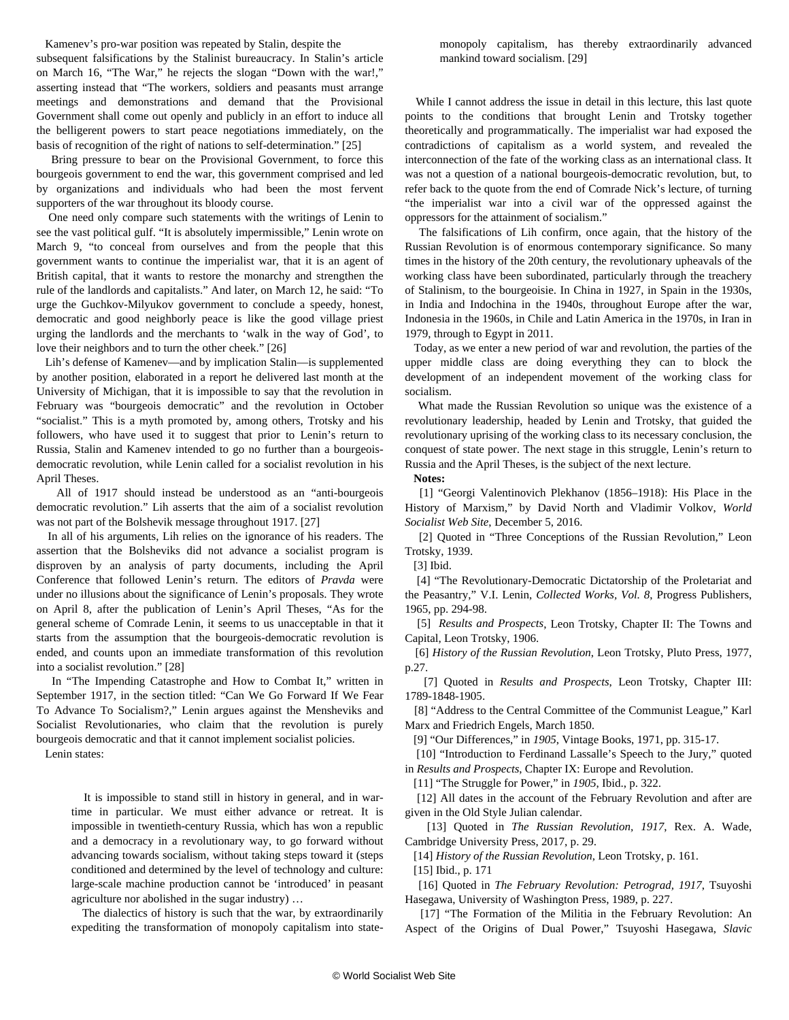Kamenev's pro-war position was repeated by Stalin, despite the

subsequent falsifications by the Stalinist bureaucracy. In Stalin's article on March 16, "The War," he rejects the slogan "Down with the war!," asserting instead that "The workers, soldiers and peasants must arrange meetings and demonstrations and demand that the Provisional Government shall come out openly and publicly in an effort to induce all the belligerent powers to start peace negotiations immediately, on the basis of recognition of the right of nations to self-determination." [25]

 Bring pressure to bear on the Provisional Government, to force this bourgeois government to end the war, this government comprised and led by organizations and individuals who had been the most fervent supporters of the war throughout its bloody course.

 One need only compare such statements with the writings of Lenin to see the vast political gulf. "It is absolutely impermissible," Lenin wrote on March 9, "to conceal from ourselves and from the people that this government wants to continue the imperialist war, that it is an agent of British capital, that it wants to restore the monarchy and strengthen the rule of the landlords and capitalists." And later, on March 12, he said: "To urge the Guchkov-Milyukov government to conclude a speedy, honest, democratic and good neighborly peace is like the good village priest urging the landlords and the merchants to 'walk in the way of God', to love their neighbors and to turn the other cheek." [26]

 Lih's defense of Kamenev—and by implication Stalin—is supplemented by another position, elaborated in a report he delivered last month at the University of Michigan, that it is impossible to say that the revolution in February was "bourgeois democratic" and the revolution in October "socialist." This is a myth promoted by, among others, Trotsky and his followers, who have used it to suggest that prior to Lenin's return to Russia, Stalin and Kamenev intended to go no further than a bourgeoisdemocratic revolution, while Lenin called for a socialist revolution in his April Theses.

 All of 1917 should instead be understood as an "anti-bourgeois democratic revolution." Lih asserts that the aim of a socialist revolution was not part of the Bolshevik message throughout 1917. [27]

 In all of his arguments, Lih relies on the ignorance of his readers. The assertion that the Bolsheviks did not advance a socialist program is disproven by an analysis of party documents, including the April Conference that followed Lenin's return. The editors of *Pravda* were under no illusions about the significance of Lenin's proposals. They wrote on April 8, after the publication of Lenin's April Theses, "As for the general scheme of Comrade Lenin, it seems to us unacceptable in that it starts from the assumption that the bourgeois-democratic revolution is ended, and counts upon an immediate transformation of this revolution into a socialist revolution." [28]

 In "The Impending Catastrophe and How to Combat It," written in September 1917, in the section titled: "Can We Go Forward If We Fear To Advance To Socialism?," Lenin argues against the Mensheviks and Socialist Revolutionaries, who claim that the revolution is purely bourgeois democratic and that it cannot implement socialist policies.

Lenin states:

 It is impossible to stand still in history in general, and in wartime in particular. We must either advance or retreat. It is impossible in twentieth-century Russia, which has won a republic and a democracy in a revolutionary way, to go forward without advancing towards socialism, without taking steps toward it (steps conditioned and determined by the level of technology and culture: large-scale machine production cannot be 'introduced' in peasant agriculture nor abolished in the sugar industry) …

 The dialectics of history is such that the war, by extraordinarily expediting the transformation of monopoly capitalism into statemonopoly capitalism, has thereby extraordinarily advanced mankind toward socialism. [29]

 While I cannot address the issue in detail in this lecture, this last quote points to the conditions that brought Lenin and Trotsky together theoretically and programmatically. The imperialist war had exposed the contradictions of capitalism as a world system, and revealed the interconnection of the fate of the working class as an international class. It was not a question of a national bourgeois-democratic revolution, but, to refer back to the quote from the end of Comrade Nick's lecture, of turning "the imperialist war into a civil war of the oppressed against the oppressors for the attainment of socialism."

 The falsifications of Lih confirm, once again, that the history of the Russian Revolution is of enormous contemporary significance. So many times in the history of the 20th century, the revolutionary upheavals of the working class have been subordinated, particularly through the treachery of Stalinism, to the bourgeoisie. In China in 1927, in Spain in the 1930s, in India and Indochina in the 1940s, throughout Europe after the war, Indonesia in the 1960s, in Chile and Latin America in the 1970s, in Iran in 1979, through to Egypt in 2011.

 Today, as we enter a new period of war and revolution, the parties of the upper middle class are doing everything they can to block the development of an independent movement of the working class for socialism.

 What made the Russian Revolution so unique was the existence of a revolutionary leadership, headed by Lenin and Trotsky, that guided the revolutionary uprising of the working class to its necessary conclusion, the conquest of state power. The next stage in this struggle, Lenin's return to Russia and the April Theses, is the subject of the next lecture.

**Notes:**

 [1] ["Georgi Valentinovich Plekhanov \(1856–1918\): His Place in the](/en/articles/2016/12/05/plek-d05.html) [History of Marxism,](/en/articles/2016/12/05/plek-d05.html)" by David North and Vladimir Volkov, *World Socialist Web Site*, December 5, 2016.

 [2] Quoted in ["Three Conceptions of the Russian Revolution](/en/articles/2008/10/rrev-o21.html)," Leon Trotsky, 1939.

[3] Ibid.

 [4] "The Revolutionary-Democratic Dictatorship of the Proletariat and the Peasantry," V.I. Lenin, *Collected Works, Vol. 8*, Progress Publishers, 1965, pp. 294-98.

 [5] *[Results and Prospects](https://www.marxists.org/archive/trotsky/1931/tpr/rp-index.htm)*, Leon Trotsky, Chapter II: The Towns and Capital, Leon Trotsky, 1906.

 [6] *History of the Russian Revolution*, Leon Trotsky, Pluto Press, 1977, p.27.

 [7] Quoted in *Results and Prospects*, Leon Trotsky, Chapter III: 1789-1848-1905.

 [8] "Address to the Central Committee of the Communist League," Karl Marx and Friedrich Engels, March 1850.

[9] "Our Differences," in *1905*, Vintage Books, 1971, pp. 315-17.

[10] "Introduction to Ferdinand Lassalle's Speech to the Jury," quoted in *Results and Prospects*, Chapter IX: Europe and Revolution.

[11] "The Struggle for Power," in *1905*, Ibid., p. 322.

 [12] All dates in the account of the February Revolution and after are given in the Old Style Julian calendar.

 [13] Quoted in *The Russian Revolution, 1917*, Rex. A. Wade, Cambridge University Press, 2017, p. 29.

[14] *History of the Russian Revolution*, Leon Trotsky, p. 161.

[15] Ibid., p. 171

 [16] Quoted in *The February Revolution: Petrograd, 1917*, Tsuyoshi Hasegawa, University of Washington Press, 1989, p. 227.

 [17] "The Formation of the Militia in the February Revolution: An Aspect of the Origins of Dual Power," Tsuyoshi Hasegawa, *Slavic*